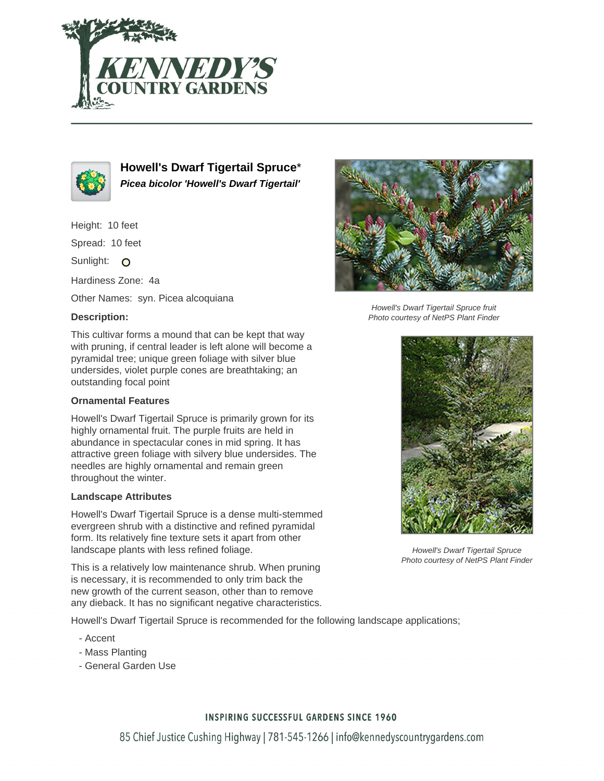



**Howell's Dwarf Tigertail Spruce**\* **Picea bicolor 'Howell's Dwarf Tigertail'**

Height: 10 feet

Spread: 10 feet

Sunlight: O

Hardiness Zone: 4a

Other Names: syn. Picea alcoquiana

## **Description:**

This cultivar forms a mound that can be kept that way with pruning, if central leader is left alone will become a pyramidal tree; unique green foliage with silver blue undersides, violet purple cones are breathtaking; an outstanding focal point

### **Ornamental Features**

Howell's Dwarf Tigertail Spruce is primarily grown for its highly ornamental fruit. The purple fruits are held in abundance in spectacular cones in mid spring. It has attractive green foliage with silvery blue undersides. The needles are highly ornamental and remain green throughout the winter.

### **Landscape Attributes**

Howell's Dwarf Tigertail Spruce is a dense multi-stemmed evergreen shrub with a distinctive and refined pyramidal form. Its relatively fine texture sets it apart from other landscape plants with less refined foliage.

This is a relatively low maintenance shrub. When pruning is necessary, it is recommended to only trim back the new growth of the current season, other than to remove any dieback. It has no significant negative characteristics.

Howell's Dwarf Tigertail Spruce is recommended for the following landscape applications;

- Accent
- Mass Planting
- General Garden Use



Howell's Dwarf Tigertail Spruce fruit Photo courtesy of NetPS Plant Finder



Howell's Dwarf Tigertail Spruce Photo courtesy of NetPS Plant Finder

### **INSPIRING SUCCESSFUL GARDENS SINCE 1960**

85 Chief Justice Cushing Highway | 781-545-1266 | info@kennedyscountrygardens.com